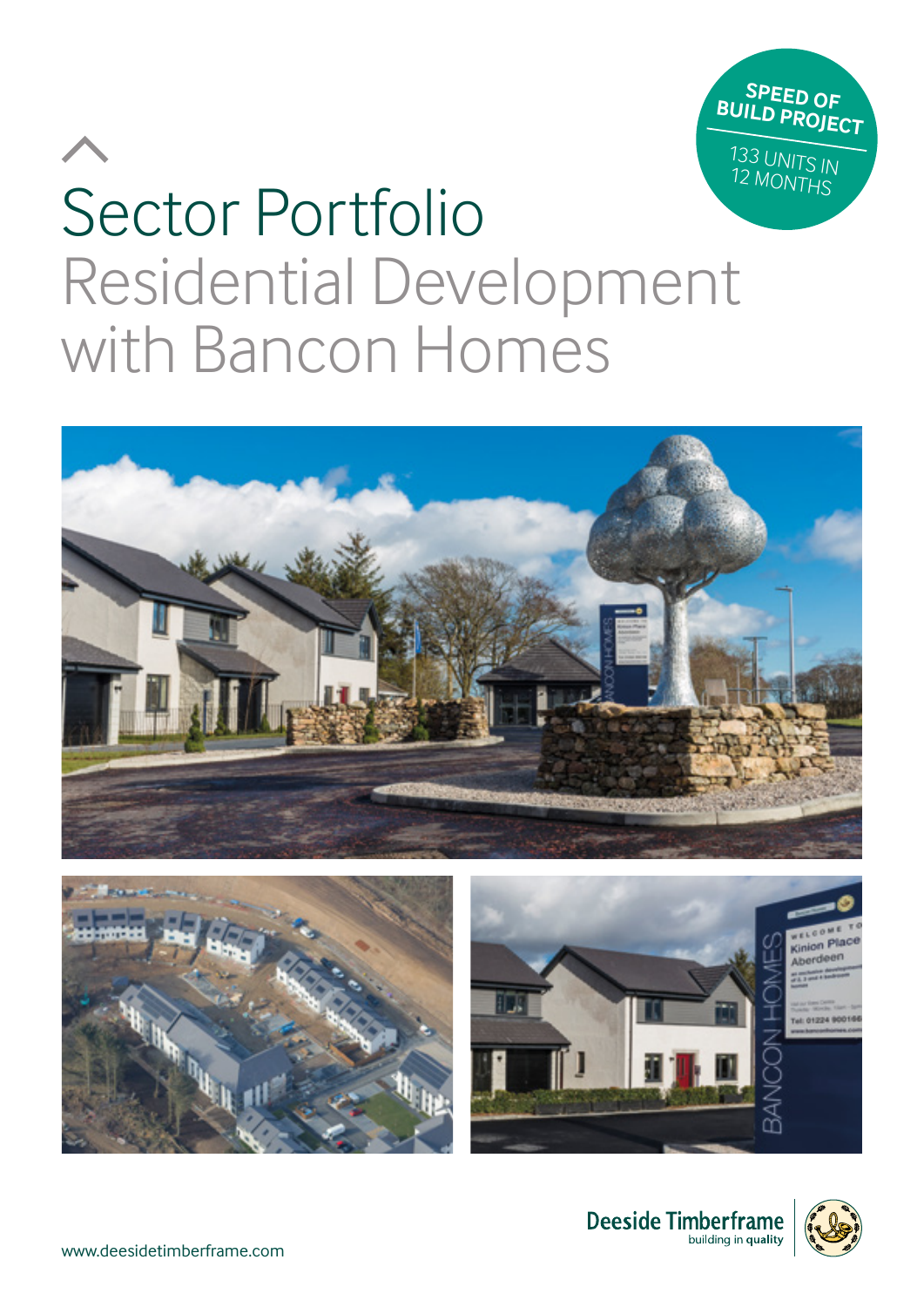

## Sector Portfolio Residential Development with Bancon Homes









Deeside Timberframe